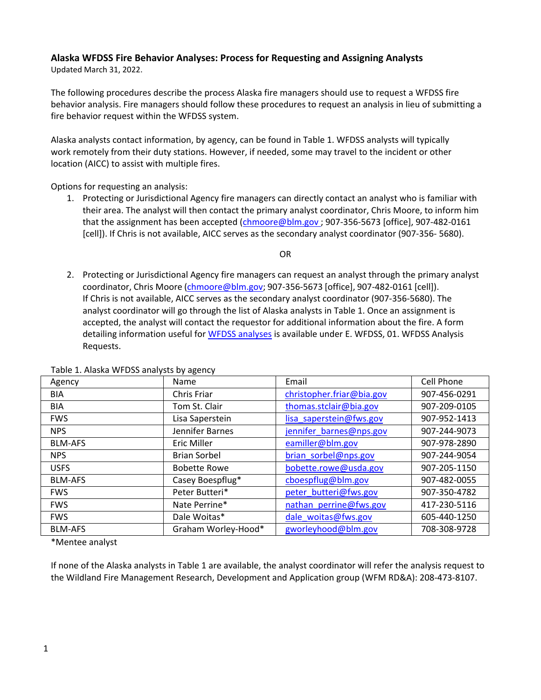## **Alaska WFDSS Fire Behavior Analyses: Process for Requesting and Assigning Analysts**

Updated March 31, 2022.

The following procedures describe the process Alaska fire managers should use to request a WFDSS fire behavior analysis. Fire managers should follow these procedures to request an analysis in lieu of submitting a fire behavior request within the WFDSS system.

Alaska analysts contact information, by agency, can be found in Table 1. WFDSS analysts will typically work remotely from their duty stations. However, if needed, some may travel to the incident or other location (AICC) to assist with multiple fires.

Options for requesting an analysis:

1. Protecting or Jurisdictional Agency fire managers can directly contact an analyst who is familiar with their area. The analyst will then contact the primary analyst coordinator, Chris Moore, to inform him that the assignment has been accepted (*chmoore@blm.gov*; 907-356-5673 [office], 907-482-0161 [cell]). If Chris is not available, AICC serves as the secondary analyst coordinator (907-356- 5680).

OR

2. Protecting or Jurisdictional Agency fire managers can request an analyst through the primary analyst coordinator, Chris Moore [\(chmoore@blm.gov;](mailto:chmoore@blm.gov) 907-356-5673 [office], 907-482-0161 [cell]). If Chris is not available, AICC serves as the secondary analyst coordinator (907-356-5680). The analyst coordinator will go through the list of Alaska analysts in Table 1. Once an assignment is accepted, the analyst will contact the requestor for additional information about the fire. A form detailing information useful fo[r WFDSS analyses](https://fire.ak.blm.gov/administration/aaguide.php) is available under E. WFDSS, 01. WFDSS Analysis Requests.

| Agency         | Name                | Email                     | Cell Phone   |
|----------------|---------------------|---------------------------|--------------|
| <b>BIA</b>     | Chris Friar         | christopher.friar@bia.gov | 907-456-0291 |
| <b>BIA</b>     | Tom St. Clair       | thomas.stclair@bia.gov    | 907-209-0105 |
| <b>FWS</b>     | Lisa Saperstein     | lisa saperstein@fws.gov   | 907-952-1413 |
| <b>NPS</b>     | Jennifer Barnes     | jennifer barnes@nps.gov   | 907-244-9073 |
| <b>BLM-AFS</b> | Eric Miller         | eamiller@blm.gov          | 907-978-2890 |
| <b>NPS</b>     | <b>Brian Sorbel</b> | brian sorbel@nps.gov      | 907-244-9054 |
| <b>USFS</b>    | <b>Bobette Rowe</b> | bobette.rowe@usda.gov     | 907-205-1150 |
| <b>BLM-AFS</b> | Casey Boespflug*    | cboespflug@blm.gov        | 907-482-0055 |
| <b>FWS</b>     | Peter Butteri*      | peter butteri@fws.gov     | 907-350-4782 |
| <b>FWS</b>     | Nate Perrine*       | nathan perrine@fws.gov    | 417-230-5116 |
| <b>FWS</b>     | Dale Woitas*        | dale woitas@fws.gov       | 605-440-1250 |
| <b>BLM-AFS</b> | Graham Worley-Hood* | gworleyhood@blm.gov       | 708-308-9728 |

Table 1. Alaska WFDSS analysts by agency

\*Mentee analyst

If none of the Alaska analysts in Table 1 are available, the analyst coordinator will refer the analysis request to the Wildland Fire Management Research, Development and Application group (WFM RD&A): 208-473-8107.